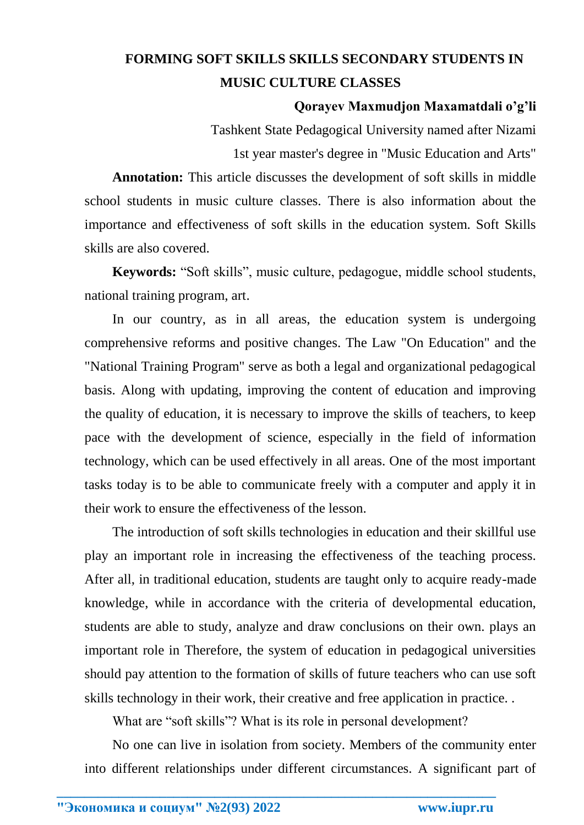## **FORMING SOFT SKILLS SKILLS SECONDARY STUDENTS IN MUSIC CULTURE CLASSES**

## **Qorayev Maxmudjon Maxamatdali o'g'li**

Tashkent State Pedagogical University named after Nizami 1st year master's degree in "Music Education and Arts"

**Annotation:** This article discusses the development of soft skills in middle school students in music culture classes. There is also information about the importance and effectiveness of soft skills in the education system. Soft Skills skills are also covered.

**Keywords:** "Soft skills", music culture, pedagogue, middle school students, national training program, art.

In our country, as in all areas, the education system is undergoing comprehensive reforms and positive changes. The Law "On Education" and the "National Training Program" serve as both a legal and organizational pedagogical basis. Along with updating, improving the content of education and improving the quality of education, it is necessary to improve the skills of teachers, to keep pace with the development of science, especially in the field of information technology, which can be used effectively in all areas. One of the most important tasks today is to be able to communicate freely with a computer and apply it in their work to ensure the effectiveness of the lesson.

The introduction of soft skills technologies in education and their skillful use play an important role in increasing the effectiveness of the teaching process. After all, in traditional education, students are taught only to acquire ready-made knowledge, while in accordance with the criteria of developmental education, students are able to study, analyze and draw conclusions on their own. plays an important role in Therefore, the system of education in pedagogical universities should pay attention to the formation of skills of future teachers who can use soft skills technology in their work, their creative and free application in practice. .

What are "soft skills"? What is its role in personal development?

**\_\_\_\_\_\_\_\_\_\_\_\_\_\_\_\_\_\_\_\_\_\_\_\_\_\_\_\_\_\_\_\_\_\_\_\_\_\_\_\_\_\_\_\_\_\_\_\_\_\_\_\_\_\_\_\_\_\_\_\_\_\_\_\_**

No one can live in isolation from society. Members of the community enter into different relationships under different circumstances. A significant part of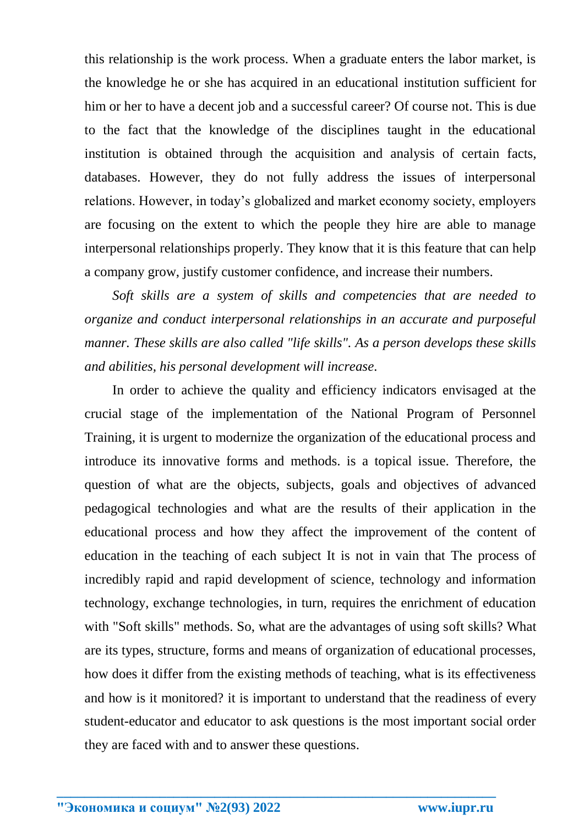this relationship is the work process. When a graduate enters the labor market, is the knowledge he or she has acquired in an educational institution sufficient for him or her to have a decent job and a successful career? Of course not. This is due to the fact that the knowledge of the disciplines taught in the educational institution is obtained through the acquisition and analysis of certain facts, databases. However, they do not fully address the issues of interpersonal relations. However, in today's globalized and market economy society, employers are focusing on the extent to which the people they hire are able to manage interpersonal relationships properly. They know that it is this feature that can help a company grow, justify customer confidence, and increase their numbers.

*Soft skills are a system of skills and competencies that are needed to organize and conduct interpersonal relationships in an accurate and purposeful manner. These skills are also called "life skills". As a person develops these skills and abilities, his personal development will increase.*

In order to achieve the quality and efficiency indicators envisaged at the crucial stage of the implementation of the National Program of Personnel Training, it is urgent to modernize the organization of the educational process and introduce its innovative forms and methods. is a topical issue. Therefore, the question of what are the objects, subjects, goals and objectives of advanced pedagogical technologies and what are the results of their application in the educational process and how they affect the improvement of the content of education in the teaching of each subject It is not in vain that The process of incredibly rapid and rapid development of science, technology and information technology, exchange technologies, in turn, requires the enrichment of education with "Soft skills" methods. So, what are the advantages of using soft skills? What are its types, structure, forms and means of organization of educational processes, how does it differ from the existing methods of teaching, what is its effectiveness and how is it monitored? it is important to understand that the readiness of every student-educator and educator to ask questions is the most important social order they are faced with and to answer these questions.

**\_\_\_\_\_\_\_\_\_\_\_\_\_\_\_\_\_\_\_\_\_\_\_\_\_\_\_\_\_\_\_\_\_\_\_\_\_\_\_\_\_\_\_\_\_\_\_\_\_\_\_\_\_\_\_\_\_\_\_\_\_\_\_\_**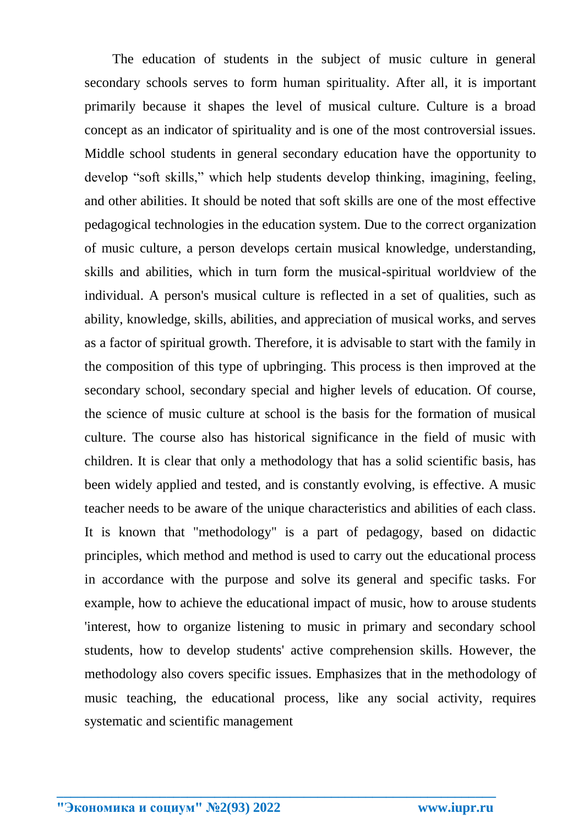The education of students in the subject of music culture in general secondary schools serves to form human spirituality. After all, it is important primarily because it shapes the level of musical culture. Culture is a broad concept as an indicator of spirituality and is one of the most controversial issues. Middle school students in general secondary education have the opportunity to develop "soft skills," which help students develop thinking, imagining, feeling, and other abilities. It should be noted that soft skills are one of the most effective pedagogical technologies in the education system. Due to the correct organization of music culture, a person develops certain musical knowledge, understanding, skills and abilities, which in turn form the musical-spiritual worldview of the individual. A person's musical culture is reflected in a set of qualities, such as ability, knowledge, skills, abilities, and appreciation of musical works, and serves as a factor of spiritual growth. Therefore, it is advisable to start with the family in the composition of this type of upbringing. This process is then improved at the secondary school, secondary special and higher levels of education. Of course, the science of music culture at school is the basis for the formation of musical culture. The course also has historical significance in the field of music with children. It is clear that only a methodology that has a solid scientific basis, has been widely applied and tested, and is constantly evolving, is effective. A music teacher needs to be aware of the unique characteristics and abilities of each class. It is known that "methodology" is a part of pedagogy, based on didactic principles, which method and method is used to carry out the educational process in accordance with the purpose and solve its general and specific tasks. For example, how to achieve the educational impact of music, how to arouse students 'interest, how to organize listening to music in primary and secondary school students, how to develop students' active comprehension skills. However, the methodology also covers specific issues. Emphasizes that in the methodology of music teaching, the educational process, like any social activity, requires systematic and scientific management

**\_\_\_\_\_\_\_\_\_\_\_\_\_\_\_\_\_\_\_\_\_\_\_\_\_\_\_\_\_\_\_\_\_\_\_\_\_\_\_\_\_\_\_\_\_\_\_\_\_\_\_\_\_\_\_\_\_\_\_\_\_\_\_\_**